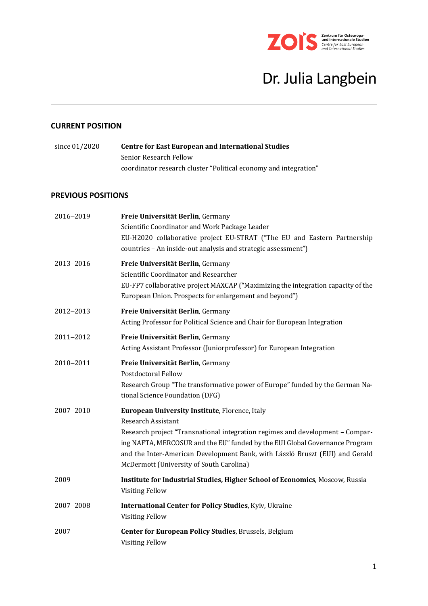

# Dr. Julia Langbein

## **CURRENT POSITION**

| since 01/2020 | <b>Centre for East European and International Studies</b>        |
|---------------|------------------------------------------------------------------|
|               | Senior Research Fellow                                           |
|               | coordinator research cluster "Political economy and integration" |

## **PREVIOUS POSITIONS**

| 2016-2019 | Freie Universität Berlin, Germany<br>Scientific Coordinator and Work Package Leader                                                                                                                                                                                                                                                                                     |
|-----------|-------------------------------------------------------------------------------------------------------------------------------------------------------------------------------------------------------------------------------------------------------------------------------------------------------------------------------------------------------------------------|
|           | EU-H2020 collaborative project EU-STRAT ("The EU and Eastern Partnership<br>countries - An inside-out analysis and strategic assessment")                                                                                                                                                                                                                               |
| 2013-2016 | Freie Universität Berlin, Germany<br>Scientific Coordinator and Researcher<br>EU-FP7 collaborative project MAXCAP ("Maximizing the integration capacity of the<br>European Union. Prospects for enlargement and beyond")                                                                                                                                                |
| 2012-2013 | Freie Universität Berlin, Germany<br>Acting Professor for Political Science and Chair for European Integration                                                                                                                                                                                                                                                          |
| 2011-2012 | Freie Universität Berlin, Germany<br>Acting Assistant Professor (Juniorprofessor) for European Integration                                                                                                                                                                                                                                                              |
| 2010-2011 | Freie Universität Berlin, Germany<br>Postdoctoral Fellow<br>Research Group "The transformative power of Europe" funded by the German Na-<br>tional Science Foundation (DFG)                                                                                                                                                                                             |
| 2007-2010 | European University Institute, Florence, Italy<br><b>Research Assistant</b><br>Research project "Transnational integration regimes and development - Compar-<br>ing NAFTA, MERCOSUR and the EU" funded by the EUI Global Governance Program<br>and the Inter-American Development Bank, with László Bruszt (EUI) and Gerald<br>McDermott (University of South Carolina) |
| 2009      | Institute for Industrial Studies, Higher School of Economics, Moscow, Russia<br><b>Visiting Fellow</b>                                                                                                                                                                                                                                                                  |
| 2007-2008 | <b>International Center for Policy Studies, Kyiv, Ukraine</b><br><b>Visiting Fellow</b>                                                                                                                                                                                                                                                                                 |
| 2007      | Center for European Policy Studies, Brussels, Belgium<br><b>Visiting Fellow</b>                                                                                                                                                                                                                                                                                         |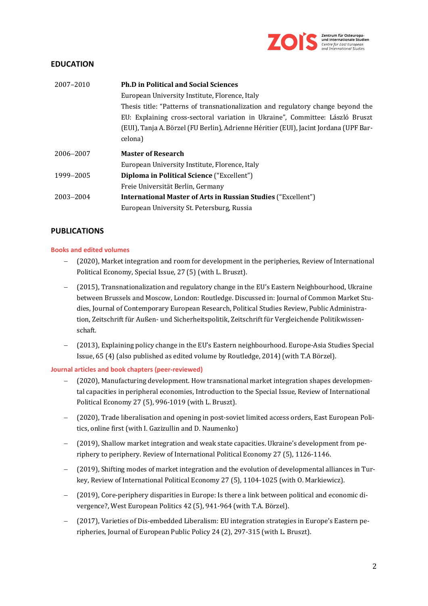

## **EDUCATION**

| 2007-2010 | <b>Ph.D in Political and Social Sciences</b>                                          |
|-----------|---------------------------------------------------------------------------------------|
|           | European University Institute, Florence, Italy                                        |
|           | Thesis title: "Patterns of transnationalization and regulatory change beyond the      |
|           | EU: Explaining cross-sectoral variation in Ukraine", Committee: László Bruszt         |
|           | (EUI), Tanja A. Börzel (FU Berlin), Adrienne Héritier (EUI), Jacint Jordana (UPF Bar- |
|           | celona)                                                                               |
|           |                                                                                       |
| 2006-2007 | <b>Master of Research</b>                                                             |
|           | European University Institute, Florence, Italy                                        |
| 1999-2005 | Diploma in Political Science ("Excellent")                                            |
|           | Freie Universität Berlin, Germany                                                     |
| 2003-2004 | <b>International Master of Arts in Russian Studies ("Excellent")</b>                  |

## **PUBLICATIONS**

### **Books and edited volumes**

- − (2020), Market integration and room for development in the peripheries, Review of International Political Economy, Special Issue, 27 (5) (with L. Bruszt).
- − (2015), Transnationalization and regulatory change in the EU's Eastern Neighbourhood, Ukraine between Brussels and Moscow, London: Routledge. Discussed in: Journal of Common Market Studies, Journal of Contemporary European Research, Political Studies Review, Public Administration, Zeitschrift für Außen- und Sicherheitspolitik, Zeitschrift für Vergleichende Politikwissenschaft.
- − (2013), Explaining policy change in the EU's Eastern neighbourhood. Europe-Asia Studies Special Issue, 65 (4) (also published as edited volume by Routledge, 2014) (with T.A Börzel).

#### **Journal articles and book chapters (peer-reviewed)**

- − (2020), Manufacturing development. How transnational market integration shapes developmental capacities in peripheral economies, Introduction to the Special Issue, Review of International Political Economy 27 (5), 996-1019 (with L. Bruszt).
- − (2020), Trade liberalisation and opening in post-soviet limited access orders, East European Politics, online first (with I. Gazizullin and D. Naumenko)
- − (2019), Shallow market integration and weak state capacities. Ukraine's development from periphery to periphery. Review of International Political Economy 27 (5), 1126-1146.
- − (2019), Shifting modes of market integration and the evolution of developmental alliances in Turkey, Review of International Political Economy 27 (5), 1104-1025 (with O. Markiewicz).
- − (2019), Core-periphery disparities in Europe: Is there a link between political and economic divergence?, West European Politics 42 (5), 941-964 (with T.A. Börzel).
- − (2017), Varieties of Dis-embedded Liberalism: EU integration strategies in Europe's Eastern peripheries, Journal of European Public Policy 24 (2), 297-315 (with L. Bruszt).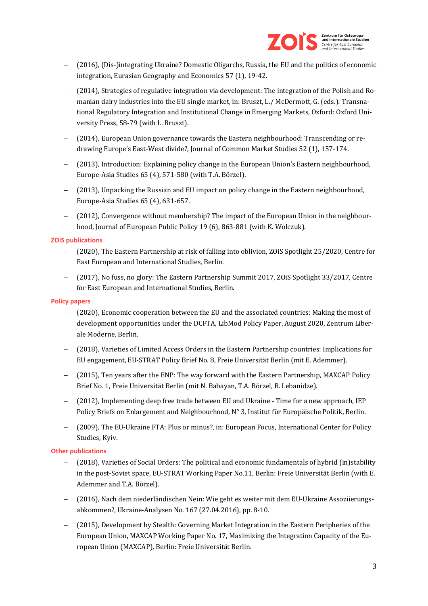

- − (2016), (Dis-)integrating Ukraine? Domestic Oligarchs, Russia, the EU and the politics of economic integration, Eurasian Geography and Economics 57 (1), 19-42.
- − (2014), Strategies of regulative integration via development: The integration of the Polish and Romanian dairy industries into the EU single market, in: Bruszt, L./ McDermott, G. (eds.): Transnational Regulatory Integration and Institutional Change in Emerging Markets, Oxford: Oxford University Press, 58-79 (with L. Bruszt).
- − (2014), European Union governance towards the Eastern neighbourhood: Transcending or redrawing Europe's East-West divide?, Journal of Common Market Studies 52 (1), 157-174.
- − (2013), Introduction: Explaining policy change in the European Union's Eastern neighbourhood, Europe-Asia Studies 65 (4), 571-580 (with T.A. Börzel).
- − (2013), Unpacking the Russian and EU impact on policy change in the Eastern neighbourhood, Europe-Asia Studies 65 (4), 631-657.
- − (2012), Convergence without membership? The impact of the European Union in the neighbourhood, Journal of European Public Policy 19 (6), 863-881 (with K. Wolczuk).

#### **ZOiS publications**

- − (2020), The Eastern Partnership at risk of falling into oblivion, ZOiS Spotlight 25/2020, Centre for East European and International Studies, Berlin.
- − (2017), No fuss, no glory: The Eastern Partnership Summit 2017, ZOiS Spotlight 33/2017, Centre for East European and International Studies, Berlin.

#### **Policy papers**

- − (2020), Economic cooperation between the EU and the associated countries: Making the most of development opportunities under the DCFTA, LibMod Policy Paper, August 2020, Zentrum Liberale Moderne, Berlin.
- − (2018), Varieties of Limited Access Orders in the Eastern Partnership countries: Implications for EU engagement, EU-STRAT Policy Brief No. 8, Freie Universität Berlin (mit E. Ademmer).
- − (2015), Ten years after the ENP: The way forward with the Eastern Partnership, MAXCAP Policy Brief No. 1, Freie Universität Berlin (mit N. Babayan, T.A. Börzel, B. Lebanidze).
- − (2012), Implementing deep free trade between EU and Ukraine Time for a new approach, IEP Policy Briefs on Enlargement and Neighbourhood, N° 3, Institut für Europäische Politik, Berlin.
- − (2009), The EU-Ukraine FTA: Plus or minus?, in: European Focus, International Center for Policy Studies, Kyiv.

## **Other publications**

- − (2018), Varieties of Social Orders: The political and economic fundamentals of hybrid (in)stability in the post-Soviet space, EU-STRAT Working Paper No.11, Berlin: Freie Universität Berlin (with E. Ademmer and T.A. Börzel).
- − (2016), Nach dem niederländischen Nein: Wie geht es weiter mit dem EU-Ukraine Assoziierungsabkommen?, Ukraine-Analysen No. 167 (27.04.2016), pp. 8-10.
- − (2015), Development by Stealth: Governing Market Integration in the Eastern Peripheries of the European Union, MAXCAP Working Paper No. 17, Maximizing the Integration Capacity of the European Union (MAXCAP), Berlin: Freie Universität Berlin.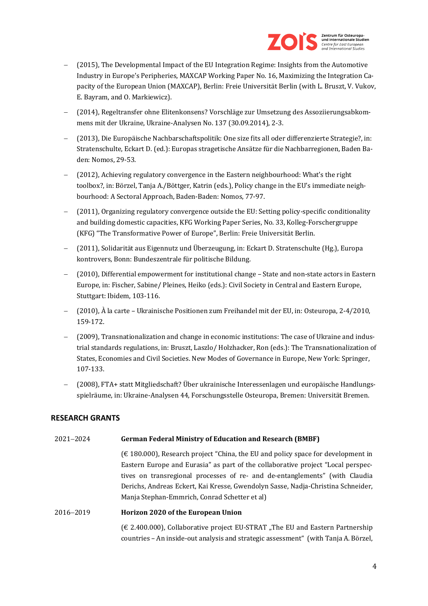

- − (2015), The Developmental Impact of the EU Integration Regime: Insights from the Automotive Industry in Europe's Peripheries, MAXCAP Working Paper No. 16, Maximizing the Integration Capacity of the European Union (MAXCAP), Berlin: Freie Universität Berlin (with L. Bruszt, V. Vukov, E. Bayram, and O. Markiewicz).
- − (2014), Regeltransfer ohne Elitenkonsens? Vorschläge zur Umsetzung des Assoziierungsabkommens mit der Ukraine, Ukraine-Analysen No. 137 (30.09.2014), 2-3.
- − (2013), Die Europäische Nachbarschaftspolitik: One size fits all oder differenzierte Strategie?, in: Stratenschulte, Eckart D. (ed.): Europas stragetische Ansätze für die Nachbarregionen, Baden Baden: Nomos, 29-53.
- − (2012), Achieving regulatory convergence in the Eastern neighbourhood: What's the right toolbox?, in: Börzel, Tanja A./Böttger, Katrin (eds.), Policy change in the EU's immediate neighbourhood: A Sectoral Approach, Baden-Baden: Nomos, 77-97.
- − (2011), Organizing regulatory convergence outside the EU: Setting policy-specific conditionality and building domestic capacities, KFG Working Paper Series, No. 33, Kolleg-Forschergruppe (KFG) "The Transformative Power of Europe", Berlin: Freie Universität Berlin.
- − (2011)' Solidarität aus Eigennutz und Überzeugung, in: Eckart D. Stratenschulte (Hg.), Europa kontrovers, Bonn: Bundeszentrale für politische Bildung.
- − (2010), Differential empowerment for institutional change State and non-state actors in Eastern Europe, in: Fischer, Sabine/ Pleines, Heiko (eds.): Civil Society in Central and Eastern Europe, Stuttgart: Ibidem, 103-116.
- − (2010), À la carte Ukrainische Positionen zum Freihandel mit der EU, in: Osteuropa, 2-4/2010, 159-172.
- − (2009), Transnationalization and change in economic institutions: The case of Ukraine and industrial standards regulations, in: Bruszt, Laszlo/ Holzhacker, Ron (eds.): The Transnationalization of States, Economies and Civil Societies. New Modes of Governance in Europe, New York: Springer, 107-133.
- − (2008), FTA+ statt Mitgliedschaft? Über ukrainische Interessenlagen und europäische Handlungsspielräume, in: Ukraine-Analysen 44, Forschungsstelle Osteuropa, Bremen: Universität Bremen.

## **RESEARCH GRANTS**

## 2021−2024 **German Federal Ministry of Education and Research (BMBF)**

 $(\text{\textsterling} 180.000)$ , Research project "China, the EU and policy space for development in Eastern Europe and Eurasia" as part of the collaborative project "Local perspectives on transregional processes of re- and de-entanglements" (with Claudia Derichs, Andreas Eckert, Kai Kresse, Gwendolyn Sasse, Nadja-Christina Schneider, Manja Stephan-Emmrich, Conrad Schetter et al)

## 2016−2019 **Horizon 2020 of the European Union**

 $(\text{\textsterling 2.400.000})$ , Collaborative project EU-STRAT "The EU and Eastern Partnership countries – An inside-out analysis and strategic assessment" (with Tanja A. Börzel,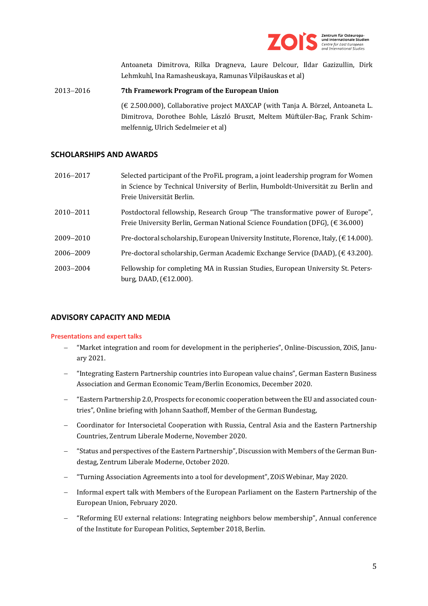

Antoaneta Dimitrova, Rilka Dragneva, Laure Delcour, Ildar Gazizullin, Dirk Lehmkuhl, Ina Ramasheuskaya, Ramunas Vilpišauskas et al)

# 2013−2016 **7th Framework Program of the European Union**

(€ 2.500.000), Collaborative project MAXCAP (with Tanja A. Börzel, Antoaneta L. Dimitrova, Dorothee Bohle, László Bruszt, Meltem Müftüler-Baç, Frank Schimmelfennig, Ulrich Sedelmeier et al)

## **SCHOLARSHIPS AND AWARDS**

| 2016-2017 | Selected participant of the ProFiL program, a joint leadership program for Women<br>in Science by Technical University of Berlin, Humboldt-Universität zu Berlin and<br>Freie Universität Berlin. |
|-----------|---------------------------------------------------------------------------------------------------------------------------------------------------------------------------------------------------|
| 2010-2011 | Postdoctoral fellowship, Research Group "The transformative power of Europe",<br>Freie University Berlin, German National Science Foundation (DFG), $(\in 36.000)$                                |
| 2009-2010 | Pre-doctoral scholarship, European University Institute, Florence, Italy, $(\text{\textsterling} 14.000)$ .                                                                                       |
| 2006-2009 | Pre-doctoral scholarship, German Academic Exchange Service (DAAD), $(\text{\textsterling} 43.200)$ .                                                                                              |
| 2003-2004 | Fellowship for completing MA in Russian Studies, European University St. Peters-<br>burg, DAAD, $(\text{\textsterling}12.000)$ .                                                                  |

## **ADVISORY CAPACITY AND MEDIA**

## **Presentations and expert talks**

- − "Market integration and room for development in the peripheries", Online-Discussion, ZOiS, January 2021.
- − "Integrating Eastern Partnership countries into European value chains", German Eastern Business Association and German Economic Team/Berlin Economics, December 2020.
- − "Eastern Partnership 2.0, Prospects for economic cooperation between the EU and associated countries", Online briefing with Johann Saathoff, Member of the German Bundestag,
- − Coordinator for Intersocietal Cooperation with Russia, Central Asia and the Eastern Partnership Countries, Zentrum Liberale Moderne, November 2020.
- − "Status and perspectives of the Eastern Partnership", Discussion with Members of the German Bundestag, Zentrum Liberale Moderne, October 2020.
- − "Turning Association Agreements into a tool for development", ZOiS Webinar, May 2020.
- − Informal expert talk with Members of the European Parliament on the Eastern Partnership of the European Union, February 2020.
- − "Reforming EU external relations: Integrating neighbors below membership", Annual conference of the Institute for European Politics, September 2018, Berlin.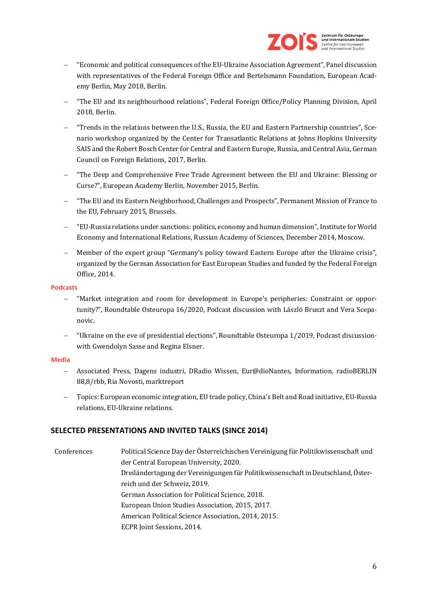

- − "Economic and political consequences of the EU-Ukraine Association Agreement", Panel discussion with representatives of the Federal Foreign Office and Bertelsmann Foundation, European Academy Berlin, May 2018, Berlin.
- − "The EU and its neighbourhood relations", Federal Foreign Office/Policy Planning Division, April 2018, Berlin.
- − "Trends in the relations between the U.S., Russia, the EU and Eastern Partnership countries", Scenario workshop organized by the Center for Transatlantic Relations at Johns Hopkins University SAIS and the Robert Bosch Center for Central and Eastern Europe, Russia, and Central Asia, German Council on Foreign Relations, 2017, Berlin.
- − "The Deep and Comprehensive Free Trade Agreement between the EU and Ukraine: Blessing or Curse?", European Academy Berlin, November 2015, Berlin.
- − "The EU and its Eastern Neighborhood, Challenges and Prospects", Permanent Mission of France to the EU, February 2015, Brussels.
- − "EU-Russia relations under sanctions: politics, economy and human dimension", Institute for World Economy and International Relations, Russian Academy of Sciences, December 2014, Moscow.
- − Member of the expert group "Germany's policy toward Eastern Europe after the Ukraine crisis", organized by the German Association for East European Studies and funded by the Federal Foreign Office, 2014.

#### **Podcasts**

- − "Market integration and room for development in Europe's peripheries: Constraint or opportunity?", Roundtable Osteuropa 16/2020, Podcast discussion with László Bruszt and Vera Scepanovic.
- − "Ukraine on the eve of presidential elections", Roundtable Osteuropa 1/2019, Podcast discussionwith Gwendolyn Sasse and Regina Elsner.

## **Media**

- − Associated Press, Dagens industri, DRadio Wissen, Eur@dioNantes, Information, radioBERLIN 88,8/rbb, Ria Novosti, marktreport
- − Topics: European economic integration, EU trade policy, China's Belt and Road initiative, EU-Russia relations, EU-Ukraine relations.

## **SELECTED PRESENTATIONS AND INVITED TALKS (SINCE 2014)**

Conferences Political Science Day der Österreichischen Vereinigung für Politikwissenschaft und der Central European University, 2020. Dreiländertagung der Vereinigungen für Politikwissenschaft in Deutschland, Österreich und der Schweiz, 2019. German Association for Political Science, 2018. European Union Studies Association, 2015, 2017. American Political Science Association, 2014, 2015. ECPR Joint Sessions, 2014.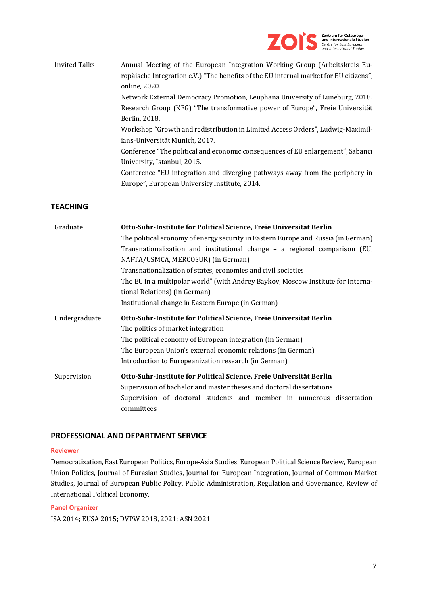

Invited Talks Annual Meeting of the European Integration Working Group (Arbeitskreis Europäische Integration e.V.) "The benefits of the EU internal market for EU citizens", online, 2020. Network External Democracy Promotion, Leuphana University of Lüneburg, 2018. Research Group (KFG) "The transformative power of Europe", Freie Universität Berlin, 2018. Workshop "Growth and redistribution in Limited Access Orders", Ludwig-Maximilians-Universität Munich, 2017. Conference "The political and economic consequences of EU enlargement", Sabanci University, Istanbul, 2015. Conference "EU integration and diverging pathways away from the periphery in Europe", European University Institute, 2014.

## **TEACHING**

| Graduate      | Otto-Suhr-Institute for Political Science, Freie Universität Berlin               |
|---------------|-----------------------------------------------------------------------------------|
|               | The political economy of energy security in Eastern Europe and Russia (in German) |
|               | Transnationalization and institutional change - a regional comparison (EU,        |
|               | NAFTA/USMCA, MERCOSUR) (in German)                                                |
|               | Transnationalization of states, economies and civil societies                     |
|               | The EU in a multipolar world" (with Andrey Baykov, Moscow Institute for Interna-  |
|               | tional Relations) (in German)                                                     |
|               | Institutional change in Eastern Europe (in German)                                |
| Undergraduate | Otto-Suhr-Institute for Political Science, Freie Universität Berlin               |
|               | The politics of market integration                                                |
|               | The political economy of European integration (in German)                         |
|               | The European Union's external economic relations (in German)                      |
|               | Introduction to Europeanization research (in German)                              |
| Supervision   | Otto-Suhr-Institute for Political Science, Freie Universität Berlin               |
|               | Supervision of bachelor and master theses and doctoral dissertations              |
|               | Supervision of doctoral students and member in numerous dissertation              |
|               | committees                                                                        |

## **PROFESSIONAL AND DEPARTMENT SERVICE**

#### **Reviewer**

Democratization, East European Politics, Europe-Asia Studies, European Political Science Review, European Union Politics, Journal of Eurasian Studies, Journal for European Integration, Journal of Common Market Studies, Journal of European Public Policy, Public Administration, Regulation and Governance, Review of International Political Economy.

#### **Panel Organizer**

ISA 2014; EUSA 2015; DVPW 2018, 2021; ASN 2021